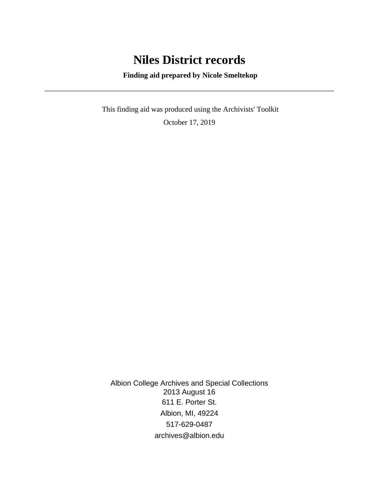## **Niles District records**

 **Finding aid prepared by Nicole Smeltekop**

 This finding aid was produced using the Archivists' Toolkit October 17, 2019

Albion College Archives and Special Collections 2013 August 16 611 E. Porter St. Albion, MI, 49224 517-629-0487 archives@albion.edu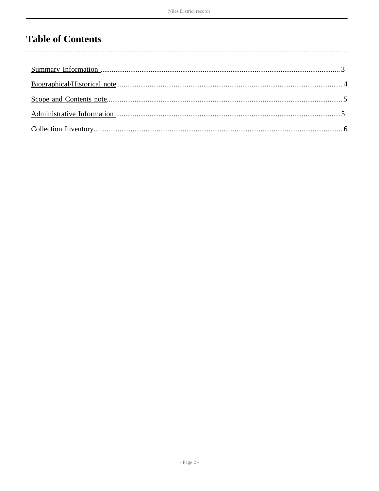# **Table of Contents**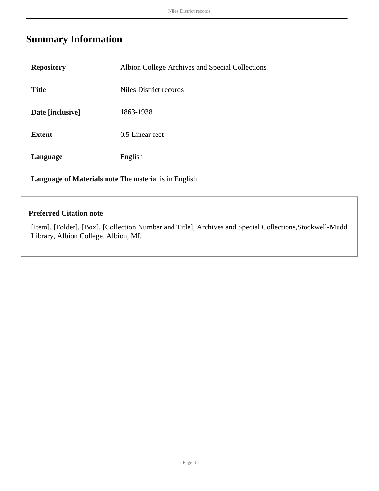<span id="page-2-0"></span>

| <b>Repository</b> | Albion College Archives and Special Collections |
|-------------------|-------------------------------------------------|
| <b>Title</b>      | Niles District records                          |
| Date [inclusive]  | 1863-1938                                       |
| <b>Extent</b>     | 0.5 Linear feet                                 |
| Language          | English                                         |

**Language of Materials note** The material is in English.

#### **Preferred Citation note**

[Item], [Folder], [Box], [Collection Number and Title], Archives and Special Collections,Stockwell-Mudd Library, Albion College. Albion, MI.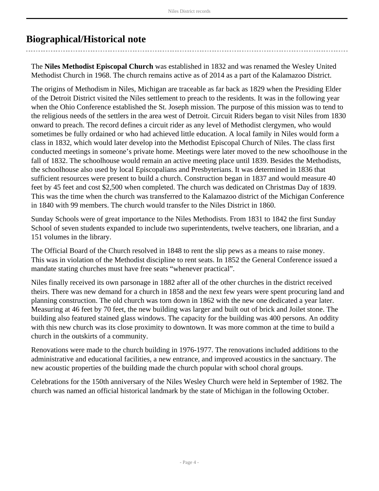## <span id="page-3-0"></span>**Biographical/Historical note**

The **Niles Methodist Episcopal Church** was established in 1832 and was renamed the Wesley United Methodist Church in 1968. The church remains active as of 2014 as a part of the Kalamazoo District.

The origins of Methodism in Niles, Michigan are traceable as far back as 1829 when the Presiding Elder of the Detroit District visited the Niles settlement to preach to the residents. It was in the following year when the Ohio Conference established the St. Joseph mission. The purpose of this mission was to tend to the religious needs of the settlers in the area west of Detroit. Circuit Riders began to visit Niles from 1830 onward to preach. The record defines a circuit rider as any level of Methodist clergymen, who would sometimes be fully ordained or who had achieved little education. A local family in Niles would form a class in 1832, which would later develop into the Methodist Episcopal Church of Niles. The class first conducted meetings in someone's private home. Meetings were later moved to the new schoolhouse in the fall of 1832. The schoolhouse would remain an active meeting place until 1839. Besides the Methodists, the schoolhouse also used by local Episcopalians and Presbyterians. It was determined in 1836 that sufficient resources were present to build a church. Construction began in 1837 and would measure 40 feet by 45 feet and cost \$2,500 when completed. The church was dedicated on Christmas Day of 1839. This was the time when the church was transferred to the Kalamazoo district of the Michigan Conference in 1840 with 99 members. The church would transfer to the Niles District in 1860.

Sunday Schools were of great importance to the Niles Methodists. From 1831 to 1842 the first Sunday School of seven students expanded to include two superintendents, twelve teachers, one librarian, and a 151 volumes in the library.

The Official Board of the Church resolved in 1848 to rent the slip pews as a means to raise money. This was in violation of the Methodist discipline to rent seats. In 1852 the General Conference issued a mandate stating churches must have free seats "whenever practical".

Niles finally received its own parsonage in 1882 after all of the other churches in the district received theirs. There was new demand for a church in 1858 and the next few years were spent procuring land and planning construction. The old church was torn down in 1862 with the new one dedicated a year later. Measuring at 46 feet by 70 feet, the new building was larger and built out of brick and Joilet stone. The building also featured stained glass windows. The capacity for the building was 400 persons. An oddity with this new church was its close proximity to downtown. It was more common at the time to build a church in the outskirts of a community.

Renovations were made to the church building in 1976-1977. The renovations included additions to the administrative and educational facilities, a new entrance, and improved acoustics in the sanctuary. The new acoustic properties of the building made the church popular with school choral groups.

Celebrations for the 150th anniversary of the Niles Wesley Church were held in September of 1982. The church was named an official historical landmark by the state of Michigan in the following October.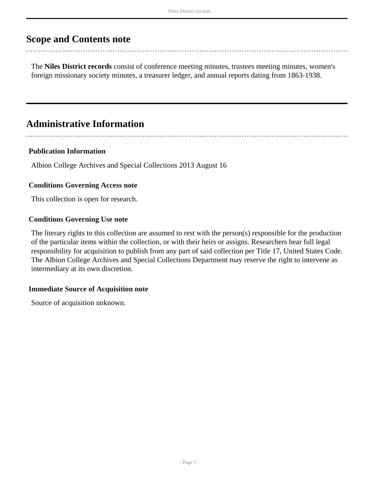## <span id="page-4-0"></span>**Scope and Contents note**

The **Niles District records** consist of conference meeting minutes, trustees meeting minutes, women's foreign missionary society minutes, a treasurer ledger, and annual reports dating from 1863-1938.

## <span id="page-4-1"></span>**Administrative Information**

#### **Publication Information**

Albion College Archives and Special Collections 2013 August 16

#### **Conditions Governing Access note**

This collection is open for research.

#### **Conditions Governing Use note**

The literary rights to this collection are assumed to rest with the person(s) responsible for the production of the particular items within the collection, or with their heirs or assigns. Researchers bear full legal responsibility for acquisition to publish from any part of said collection per Title 17, United States Code. The Albion College Archives and Special Collections Department may reserve the right to intervene as intermediary at its own discretion.

#### **Immediate Source of Acquisition note**

Source of acquisition unknown.